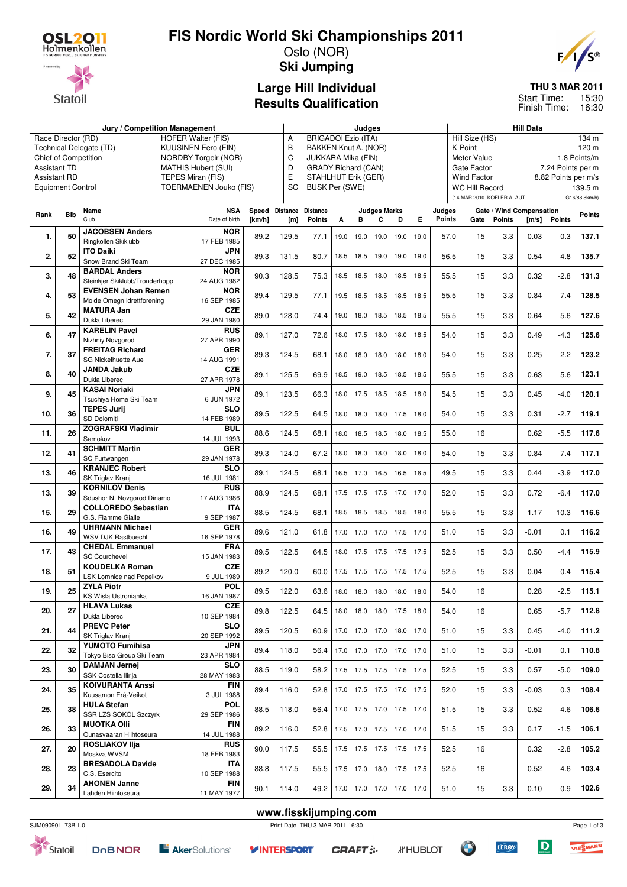

# **FIS Nordic World Ski Championships 2011**

Oslo (NOR) **Ski Jumping**





# **Large Hill Individual**

### **THU 3 MAR 2011**

15:30 Finish Time: 16:30 Start Time:

# **Results Qualification**

|                     |                          | Jury / Competition Management                    |                                                    |                |           | Judges                                           |      |           |                     |                          | <b>Hill Data</b> |        |                            |               |                          |                     |               |
|---------------------|--------------------------|--------------------------------------------------|----------------------------------------------------|----------------|-----------|--------------------------------------------------|------|-----------|---------------------|--------------------------|------------------|--------|----------------------------|---------------|--------------------------|---------------------|---------------|
|                     | Race Director (RD)       |                                                  | <b>HOFER Walter (FIS)</b>                          |                | Α         | <b>BRIGADOI Ezio (ITA)</b>                       |      |           |                     |                          |                  |        | Hill Size (HS)             |               |                          |                     | 134 m         |
|                     |                          | Technical Delegate (TD)                          | <b>KUUSINEN Eero (FIN)</b>                         |                | B         | BAKKEN Knut A. (NOR)                             |      |           |                     |                          |                  |        | K-Point                    |               |                          |                     | 120 m         |
| <b>Assistant TD</b> |                          | Chief of Competition                             | NORDBY Torgeir (NOR)<br><b>MATHIS Hubert (SUI)</b> |                | C<br>D    | JUKKARA Mika (FIN)<br><b>GRADY Richard (CAN)</b> |      |           |                     |                          |                  |        | Meter Value<br>Gate Factor |               |                          | 7.24 Points per m   | 1.8 Points/m  |
| <b>Assistant RD</b> |                          |                                                  | TEPES Miran (FIS)                                  |                | Е         | STAHLHUT Erik (GER)                              |      |           |                     |                          |                  |        | <b>Wind Factor</b>         |               |                          | 8.82 Points per m/s |               |
|                     | <b>Equipment Control</b> |                                                  | <b>TOERMAENEN Jouko (FIS)</b>                      |                | <b>SC</b> | <b>BUSK Per (SWE)</b>                            |      |           |                     |                          |                  |        | <b>WC Hill Record</b>      |               |                          |                     | 139.5 m       |
|                     |                          |                                                  |                                                    |                |           |                                                  |      |           |                     |                          |                  |        | (14 MAR 2010 KOFLER A. AUT |               |                          |                     | G16/88.8km/h) |
|                     |                          | Name                                             | <b>NSA</b>                                         | Speed Distance |           | <b>Distance</b>                                  |      |           | <b>Judges Marks</b> |                          |                  | Judges |                            |               | Gate / Wind Compensation |                     |               |
| Rank                | <b>Bib</b>               | Club                                             | Date of birth                                      | [km/h]         | [m]       | <b>Points</b>                                    | А    | в         | C                   | D                        | Е                | Points | Gate                       | <b>Points</b> | [m/s]                    | <b>Points</b>       | <b>Points</b> |
| 1.                  | 50                       | <b>JACOBSEN Anders</b>                           | <b>NOR</b>                                         | 89.2           | 129.5     | 77.1                                             |      | 19.0 19.0 |                     | 19.0 19.0                | 19.0             | 57.0   | 15                         | 3.3           | 0.03                     | $-0.3$              | 137.1         |
|                     |                          | Ringkollen Skiklubb                              | 17 FEB 1985                                        |                |           |                                                  |      |           |                     |                          |                  |        |                            |               |                          |                     |               |
| 2.                  | 52                       | <b>ITO Daiki</b><br>Snow Brand Ski Team          | <b>JPN</b><br>27 DEC 1985                          | 89.3           | 131.5     | 80.7                                             |      |           |                     | 18.5 18.5 19.0 19.0 19.0 |                  | 56.5   | 15                         | 3.3           | 0.54                     | $-4.8$              | 135.7         |
|                     |                          | <b>BARDAL Anders</b>                             | <b>NOR</b>                                         |                |           |                                                  |      |           |                     |                          |                  |        |                            |               |                          |                     |               |
| 3.                  | 48                       | Steinkjer Skiklubb/Tronderhopp                   | 24 AUG 1982                                        | 90.3           | 128.5     | 75.3                                             |      |           |                     | 18.5 18.5 18.0 18.5 18.5 |                  | 55.5   | 15                         | 3.3           | 0.32                     | $-2.8$              | 131.3         |
| 4.                  | 53                       | <b>EVENSEN Johan Remen</b>                       | <b>NOR</b>                                         | 89.4           | 129.5     | 77.1                                             |      |           | 19.5 18.5 18.5 18.5 |                          | 18.5             | 55.5   | 15                         | 3.3           | 0.84                     | $-7.4$              | 128.5         |
|                     |                          | Molde Omegn Idrettforening<br><b>MATURA Jan</b>  | 16 SEP 1985<br><b>CZE</b>                          |                |           |                                                  |      |           |                     |                          |                  |        |                            |               |                          |                     |               |
| 5.                  | 42                       | Dukla Liberec                                    | 29 JAN 1980                                        | 89.0           | 128.0     | 74.4                                             | 19.0 |           | 18.0 18.5 18.5      |                          | 18.5             | 55.5   | 15                         | 3.3           | 0.64                     | $-5.6$              | 127.6         |
| 6.                  | 47                       | <b>KARELIN Pavel</b>                             | <b>RUS</b>                                         | 89.1           | 127.0     | 72.6                                             |      | 18.0 17.5 |                     | 18.0 18.0 18.5           |                  | 54.0   | 15                         | 3.3           | 0.49                     | $-4.3$              | 125.6         |
|                     |                          | Nizhniy Novgorod                                 | 27 APR 1990                                        |                |           |                                                  |      |           |                     |                          |                  |        |                            |               |                          |                     |               |
| 7.                  | 37                       | <b>FREITAG Richard</b><br>SG Nickelhuette Aue    | <b>GER</b><br>14 AUG 1991                          | 89.3           | 124.5     | 68.1                                             |      |           |                     | 18.0 18.0 18.0 18.0 18.0 |                  | 54.0   | 15                         | 3.3           | 0.25                     | $-2.2$              | 123.2         |
|                     |                          | JANDA Jakub                                      | <b>CZE</b>                                         |                |           |                                                  |      |           |                     |                          |                  |        |                            |               |                          |                     |               |
| 8.                  | 40                       | Dukla Liberec                                    | 27 APR 1978                                        | 89.1           | 125.5     | 69.9                                             |      |           |                     | 18.5 19.0 18.5 18.5 18.5 |                  | 55.5   | 15                         | 3.3           | 0.63                     | $-5.6$              | 123.1         |
| 9.                  | 45                       | <b>KASAI Noriaki</b><br>Tsuchiya Home Ski Team   | JPN<br>6 JUN 1972                                  | 89.1           | 123.5     | 66.3                                             |      |           |                     | 18.0 17.5 18.5 18.5 18.0 |                  | 54.5   | 15                         | 3.3           | 0.45                     | $-4.0$              | 120.1         |
|                     |                          | <b>TEPES Jurij</b>                               | <b>SLO</b>                                         |                |           |                                                  |      |           |                     |                          |                  |        |                            |               |                          |                     |               |
| 10.                 | 36                       | SD Dolomiti                                      | 14 FEB 1989                                        | 89.5           | 122.5     | 64.5                                             |      |           |                     | 18.0 18.0 18.0 17.5 18.0 |                  | 54.0   | 15                         | 3.3           | 0.31                     | $-2.7$              | 119.1         |
| 11.                 | 26                       | <b>ZOGRAFSKI Vladimir</b><br>Samokov             | <b>BUL</b><br>14 JUL 1993                          | 88.6           | 124.5     | 68.1                                             |      |           |                     | 18.0 18.5 18.5 18.0 18.5 |                  | 55.0   | 16                         |               | 0.62                     | $-5.5$              | 117.6         |
|                     |                          | <b>SCHMITT Martin</b>                            | <b>GER</b>                                         |                |           |                                                  |      |           |                     |                          |                  |        |                            |               |                          |                     |               |
| 12.                 | 41                       | SC Furtwangen                                    | 29 JAN 1978                                        | 89.3           | 124.0     | 67.2                                             |      |           | 18.0 18.0 18.0 18.0 |                          | 18.0             | 54.0   | 15                         | 3.3           | 0.84                     | $-7.4$              | 117.1         |
| 13.                 | 46                       | <b>KRANJEC Robert</b><br>SK Triglav Kranj        | <b>SLO</b><br>16 JUL 1981                          | 89.1           | 124.5     | 68.1                                             |      |           | 16.5 17.0 16.5 16.5 |                          | 16.5             | 49.5   | 15                         | 3.3           | 0.44                     | $-3.9$              | 117.0         |
|                     | 39                       | <b>KORNILOV Denis</b>                            | <b>RUS</b>                                         |                |           |                                                  |      |           |                     |                          |                  |        | 15                         |               |                          |                     | 117.0         |
| 13.                 |                          | Sdushor N. Novgorod Dinamo                       | 17 AUG 1986                                        | 88.9           | 124.5     | 68.1                                             |      |           | 17.5 17.5 17.5 17.0 |                          | 17.0             | 52.0   |                            | 3.3           | 0.72                     | $-6.4$              |               |
| 15.                 | 29                       | <b>COLLOREDO Sebastian</b><br>G.S. Fiamme Gialle | <b>ITA</b><br>9 SEP 1987                           | 88.5           | 124.5     | 68.1                                             |      |           |                     | 18.5 18.5 18.5 18.5 18.0 |                  | 55.5   | 15                         | 3.3           | 1.17                     | $-10.3$             | 116.6         |
| 16.                 | 49                       | <b>UHRMANN Michael</b>                           | <b>GER</b>                                         | 89.6           | 121.0     |                                                  |      |           |                     |                          |                  | 51.0   | 15                         | 3.3           | $-0.01$                  | 0.1                 | 116.2         |
|                     |                          | <b>WSV DJK Rastbuechl</b>                        | 16 SEP 1978                                        |                |           | 61.8                                             |      |           |                     | 17.0 17.0 17.0 17.5 17.0 |                  |        |                            |               |                          |                     |               |
| 17.                 | 43                       | <b>CHEDAL Emmanuel</b><br><b>SC Courchevel</b>   | <b>FRA</b><br>15 JAN 1983                          | 89.5           | 122.5     | 64.5                                             |      |           |                     | 18.0 17.5 17.5 17.5 17.5 |                  | 52.5   | 15                         | 3.3           | 0.50                     | $-4.4$              | 115.9         |
|                     |                          | <b>KOUDELKA Roman</b>                            | <b>CZE</b>                                         |                |           |                                                  |      |           |                     |                          |                  |        |                            |               |                          |                     |               |
| 18.                 | 51                       | LSK Lomnice nad Popelkov                         | 9 JUL 1989                                         | 89.2           | 120.0     | 60.0                                             |      |           |                     | 17.5 17.5 17.5 17.5 17.5 |                  | 52.5   | 15                         | 3.3           | 0.04                     | $-0.4$              | 115.4         |
| 19.                 | 25                       | <b>ZYLA Piotr</b>                                | <b>POL</b>                                         | 89.5           | 122.0     | 63.6                                             |      |           |                     | 18.0 18.0 18.0 18.0 18.0 |                  | 54.0   | 16                         |               | 0.28                     | $-2.5$              | 115.1         |
|                     |                          | KS Wisla Ustronianka<br><b>HLAVA Lukas</b>       | 16 JAN 1987<br><b>CZE</b>                          |                |           |                                                  |      |           |                     |                          |                  |        |                            |               |                          |                     |               |
| 20.                 | 27                       | Dukla Liberec                                    | 10 SEP 1984                                        | 89.8           | 122.5     | 64.5                                             |      |           |                     | 18.0 18.0 18.0 17.5 18.0 |                  | 54.0   | 16                         |               | 0.65                     | $-5.7$              | 112.8         |
| 21.                 | 44                       | <b>PREVC Peter</b>                               | <b>SLO</b>                                         | 89.5           | 120.5     | 60.9                                             |      |           |                     | 17.0 17.0 17.0 18.0 17.0 |                  | 51.0   | 15                         | 3.3           | 0.45                     | $-4.0$              | 111.2         |
|                     |                          | SK Triglav Kranj<br><b>YUMOTO Fumihisa</b>       | 20 SEP 1992<br><b>JPN</b>                          |                |           |                                                  |      |           |                     |                          |                  |        |                            |               |                          |                     |               |
| 22.                 | 32                       | Tokyo Biso Group Ski Team                        | 23 APR 1984                                        | 89.4           | 118.0     | 56.4                                             |      |           |                     | 17.0 17.0 17.0 17.0 17.0 |                  | 51.0   | 15                         | 3.3           | $-0.01$                  | 0.1                 | 110.8         |
| 23.                 | 30                       | <b>DAMJAN Jernej</b>                             | <b>SLO</b>                                         | 88.5           | 119.0     | 58.2                                             |      |           |                     | 17.5 17.5 17.5 17.5 17.5 |                  | 52.5   | 15                         | 3.3           | 0.57                     | $-5.0$              | 109.0         |
|                     |                          | SSK Costella Ilirija                             | 28 MAY 1983                                        |                |           |                                                  |      |           |                     |                          |                  |        |                            |               |                          |                     |               |
| 24.                 | 35                       | <b>KOIVURANTA Anssi</b><br>Kuusamon Erä-Veikot   | <b>FIN</b><br>3 JUL 1988                           | 89.4           | 116.0     | 52.8                                             |      |           |                     | 17.0 17.5 17.5 17.0 17.5 |                  | 52.0   | 15                         | 3.3           | $-0.03$                  | 0.3                 | 108.4         |
| 25.                 | 38                       | <b>HULA Stefan</b>                               | POL                                                | 88.5           | 118.0     | 56.4                                             |      |           |                     | 17.0 17.5 17.0 17.5 17.0 |                  | 51.5   | 15                         | 3.3           | 0.52                     | $-4.6$              | 106.6         |
|                     |                          | SSR LZS SOKOL Szczyrk                            | 29 SEP 1986                                        |                |           |                                                  |      |           |                     |                          |                  |        |                            |               |                          |                     |               |
| 26.                 | 33                       | <b>MUOTKA OIII</b><br>Ounasvaaran Hiihtoseura    | <b>FIN</b><br>14 JUL 1988                          | 89.2           | 116.0     | 52.8                                             |      |           |                     | 17.5 17.0 17.5 17.0 17.0 |                  | 51.5   | 15                         | 3.3           | 0.17                     | $-1.5$              | 106.1         |
| 27.                 | 20                       | <b>ROSLIAKOV IIja</b>                            | <b>RUS</b>                                         | 90.0           | 117.5     | 55.5                                             |      |           |                     | 17.5 17.5 17.5 17.5 17.5 |                  | 52.5   | 16                         |               | 0.32                     | $-2.8$              | 105.2         |
|                     |                          | Moskva WVSM                                      | 18 FEB 1983                                        |                |           |                                                  |      |           |                     |                          |                  |        |                            |               |                          |                     |               |
| 28.                 | 23                       | <b>BRESADOLA Davide</b><br>C.S. Esercito         | ITA<br>10 SEP 1988                                 | 88.8           | 117.5     | 55.5                                             |      |           |                     | 17.5 17.0 18.0 17.5 17.5 |                  | 52.5   | 16                         |               | 0.52                     | $-4.6$              | 103.4         |
| 29.                 | 34                       | <b>AHONEN Janne</b>                              | <b>FIN</b>                                         | 90.1           | 114.0     | 49.2                                             |      |           |                     | 17.0 17.0 17.0 17.0 17.0 |                  | 51.0   | 15                         | 3.3           | 0.10                     | $-0.9$              | 102.6         |
|                     |                          | Lahden Hiihtoseura                               | 11 MAY 1977                                        |                |           |                                                  |      |           |                     |                          |                  |        |                            |               |                          |                     |               |
|                     |                          |                                                  |                                                    |                |           | www.fisskijumping.com                            |      |           |                     |                          |                  |        |                            |               |                          |                     |               |
|                     |                          |                                                  |                                                    |                |           |                                                  |      |           |                     |                          |                  |        |                            |               |                          |                     |               |



```
Y INTERSPORT
```


 $\bullet$ 



**LEROY** 

Page 1 of 3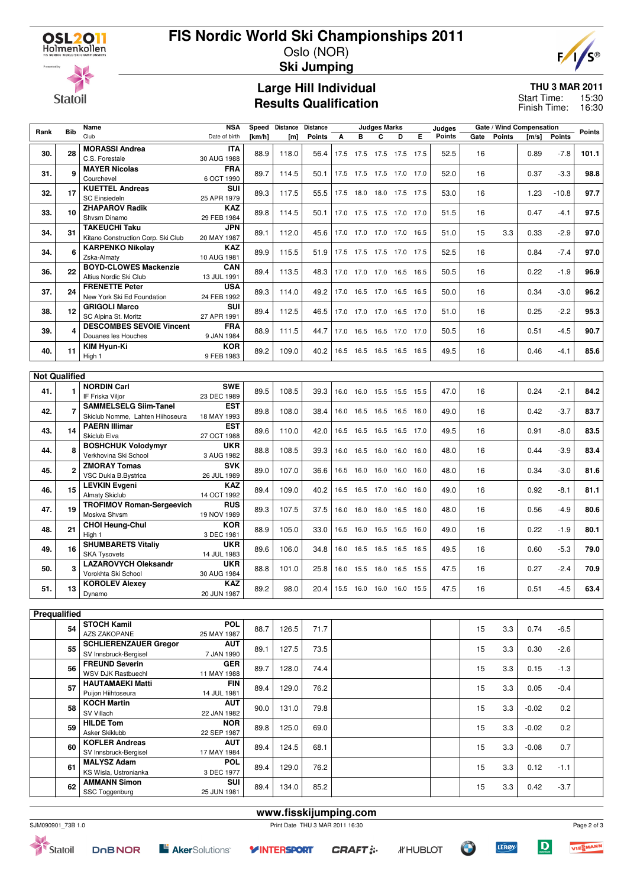**Statoil** 

## **FIS Nordic World Ski Championships 2011** Oslo (NOR)

**Ski Jumping**

### **Large Hill Individual Results Qualification**

#### **THU 3 MAR 2011** 15:30 Start Time:

 $F/$ 

16:30 Finish Time:

| Rank                 | <b>Bib</b> | Name                                                             | <b>NSA</b>                |        | Speed Distance Distance |                       |      |   | <b>Judges Marks</b> |                          |   | Judges        |      | Gate / Wind Compensation |         |               | <b>Points</b> |
|----------------------|------------|------------------------------------------------------------------|---------------------------|--------|-------------------------|-----------------------|------|---|---------------------|--------------------------|---|---------------|------|--------------------------|---------|---------------|---------------|
|                      |            | Club                                                             | Date of birth             | [km/h] | [ <sub>m</sub> ]        | Points                | A    | в | C                   | D                        | Е | <b>Points</b> | Gate | <b>Points</b>            | [m/s]   | <b>Points</b> |               |
| 30.                  | 28         | <b>MORASSI Andrea</b><br>C.S. Forestale                          | <b>ITA</b><br>30 AUG 1988 | 88.9   | 118.0                   | 56.4                  |      |   |                     | 17.5 17.5 17.5 17.5 17.5 |   | 52.5          | 16   |                          | 0.89    | $-7.8$        | 101.1         |
| 31.                  | 9          | <b>MAYER Nicolas</b><br>Courchevel                               | <b>FRA</b><br>6 OCT 1990  | 89.7   | 114.5                   | 50.1                  |      |   |                     | 17.5 17.5 17.5 17.0 17.0 |   | 52.0          | 16   |                          | 0.37    | $-3.3$        | 98.8          |
| 32.                  | 17         | <b>KUETTEL Andreas</b><br><b>SC Einsiedeln</b>                   | SUI<br>25 APR 1979        | 89.3   | 117.5                   | 55.5                  |      |   |                     | 17.5 18.0 18.0 17.5 17.5 |   | 53.0          | 16   |                          | 1.23    | $-10.8$       | 97.7          |
| 33.                  | 10         | <b>ZHAPAROV Radik</b><br>Shvsm Dinamo                            | <b>KAZ</b><br>29 FEB 1984 | 89.8   | 114.5                   | 50.1                  |      |   |                     | 17.0 17.5 17.5 17.0 17.0 |   | 51.5          | 16   |                          | 0.47    | $-4.1$        | 97.5          |
| 34.                  | 31         | <b>TAKEUCHI Taku</b><br>Kitano Construction Corp. Ski Club       | <b>JPN</b><br>20 MAY 1987 | 89.1   | 112.0                   | 45.6                  |      |   |                     | 17.0 17.0 17.0 17.0 16.5 |   | 51.0          | 15   | 3.3                      | 0.33    | $-2.9$        | 97.0          |
| 34.                  | 6          | <b>KARPENKO Nikolay</b><br>Zska-Almaty                           | <b>KAZ</b><br>10 AUG 1981 | 89.9   | 115.5                   | 51.9                  |      |   |                     | 17.5 17.5 17.5 17.0 17.5 |   | 52.5          | 16   |                          | 0.84    | $-7.4$        | 97.0          |
| 36.                  | 22         | <b>BOYD-CLOWES Mackenzie</b><br>Altius Nordic Ski Club           | CAN<br>13 JUL 1991        | 89.4   | 113.5                   | 48.3                  |      |   |                     | 17.0 17.0 17.0 16.5 16.5 |   | 50.5          | 16   |                          | 0.22    | $-1.9$        | 96.9          |
| 37.                  | 24         | <b>FRENETTE Peter</b>                                            | <b>USA</b>                | 89.3   | 114.0                   | 49.2                  |      |   |                     | 17.0 16.5 17.0 16.5 16.5 |   | 50.0          | 16   |                          | 0.34    | $-3.0$        | 96.2          |
| 38.                  | 12         | New York Ski Ed Foundation<br><b>GRIGOLI Marco</b>               | 24 FEB 1992<br>SUI        | 89.4   | 112.5                   | 46.5                  |      |   |                     | 17.0 17.0 17.0 16.5 17.0 |   | 51.0          | 16   |                          | 0.25    | $-2.2$        | 95.3          |
| 39.                  | Δ          | SC Alpina St. Moritz<br><b>DESCOMBES SEVOIE Vincent</b>          | 27 APR 1991<br><b>FRA</b> | 88.9   | 111.5                   | 44.7                  |      |   |                     | 17.0 16.5 16.5 17.0 17.0 |   | 50.5          | 16   |                          | 0.51    | $-4.5$        | 90.7          |
| 40.                  | 11         | Douanes les Houches<br>KIM Hyun-Ki                               | 9 JAN 1984<br><b>KOR</b>  | 89.2   | 109.0                   | 40.2                  |      |   |                     | 16.5 16.5 16.5 16.5 16.5 |   | 49.5          | 16   |                          | 0.46    | $-4.1$        | 85.6          |
|                      |            | High 1                                                           | 9 FEB 1983                |        |                         |                       |      |   |                     |                          |   |               |      |                          |         |               |               |
| <b>Not Qualified</b> |            |                                                                  |                           |        |                         |                       |      |   |                     |                          |   |               |      |                          |         |               |               |
| 41.                  |            | <b>NORDIN Carl</b><br>IF Friska Viljor                           | <b>SWE</b><br>23 DEC 1989 | 89.5   | 108.5                   | 39.3                  | 16.0 |   |                     | 16.0 15.5 15.5 15.5      |   | 47.0          | 16   |                          | 0.24    | $-2.1$        | 84.2          |
| 42.                  |            | <b>SAMMELSELG Siim-Tanel</b><br>Skiclub Nomme, Lahten Hiihoseura | <b>EST</b><br>18 MAY 1993 | 89.8   | 108.0                   | 38.4                  |      |   |                     | 16.0 16.5 16.5 16.5 16.0 |   | 49.0          | 16   |                          | 0.42    | $-3.7$        | 83.7          |
| 43.                  | 14         | <b>PAERN Illimar</b><br>Skiclub Elva                             | <b>EST</b><br>27 OCT 1988 | 89.6   | 110.0                   | 42.0                  |      |   |                     | 16.5 16.5 16.5 16.5 17.0 |   | 49.5          | 16   |                          | 0.91    | $-8.0$        | 83.5          |
| 44.                  | 8          | <b>BOSHCHUK Volodymyr</b><br>Verkhovina Ski School               | <b>UKR</b><br>3 AUG 1982  | 88.8   | 108.5                   | 39.3                  |      |   |                     | 16.0 16.5 16.0 16.0 16.0 |   | 48.0          | 16   |                          | 0.44    | $-3.9$        | 83.4          |
| 45.                  | 2          | <b>ZMORAY Tomas</b><br>VSC Dukla B.Bystrica                      | <b>SVK</b><br>26 JUL 1989 | 89.0   | 107.0                   | 36.6                  |      |   |                     | 16.5 16.0 16.0 16.0 16.0 |   | 48.0          | 16   |                          | 0.34    | $-3.0$        | 81.6          |
| 46.                  | 15         | <b>LEVKIN Evgeni</b><br><b>Almaty Skiclub</b>                    | <b>KAZ</b><br>14 OCT 1992 | 89.4   | 109.0                   | 40.2                  |      |   |                     | 16.5 16.5 17.0 16.0 16.0 |   | 49.0          | 16   |                          | 0.92    | $-8.1$        | 81.1          |
| 47.                  | 19         | <b>TROFIMOV Roman-Sergeevich</b><br>Moskva Shvsm                 | <b>RUS</b><br>19 NOV 1989 | 89.3   | 107.5                   | 37.5                  |      |   |                     | 16.0 16.0 16.0 16.5 16.0 |   | 48.0          | 16   |                          | 0.56    | $-4.9$        | 80.6          |
| 48.                  | 21         | <b>CHOI Heung-Chul</b><br>High 1                                 | <b>KOR</b><br>3 DEC 1981  | 88.9   | 105.0                   | 33.0                  |      |   |                     | 16.5 16.0 16.5 16.5 16.0 |   | 49.0          | 16   |                          | 0.22    | $-1.9$        | 80.1          |
| 49.                  | 16         | <b>SHUMBARETS Vitaliy</b><br><b>SKA Tysovets</b>                 | <b>UKR</b><br>14 JUL 1983 | 89.6   | 106.0                   | 34.8                  | 16.0 |   |                     | 16.5 16.5 16.5 16.5      |   | 49.5          | 16   |                          | 0.60    | $-5.3$        | 79.0          |
| 50.                  | 3          | <b>LAZAROVYCH Oleksandr</b><br>Vorokhta Ski School               | <b>UKR</b><br>30 AUG 1984 | 88.8   | 101.0                   | 25.8                  |      |   |                     | 16.0 15.5 16.0 16.5 15.5 |   | 47.5          | 16   |                          | 0.27    | $-2.4$        | 70.9          |
| 51.                  | 13         | <b>KOROLEV Alexey</b><br>Dynamo                                  | <b>KAZ</b><br>20 JUN 1987 | 89.2   | 98.0                    | 20.4                  |      |   |                     | 15.5 16.0 16.0 16.0 15.5 |   | 47.5          | 16   |                          | 0.51    | $-4.5$        | 63.4          |
|                      |            |                                                                  |                           |        |                         |                       |      |   |                     |                          |   |               |      |                          |         |               |               |
| Prequalified         |            |                                                                  |                           |        |                         |                       |      |   |                     |                          |   |               |      |                          |         |               |               |
|                      | 54         | <b>STOCH Kamil</b><br><b>AZS ZAKOPANE</b>                        | POL<br>25 MAY 1987        | 88.7   | 126.5                   | 71.7                  |      |   |                     |                          |   |               | 15   | 3.3                      | 0.74    | $-6.5$        |               |
|                      | 55         | <b>SCHLIERENZAUER Gregor</b><br>SV Innsbruck-Bergisel            | <b>AUT</b><br>7 JAN 1990  | 89.1   | 127.5                   | 73.5                  |      |   |                     |                          |   |               | 15   | 3.3                      | 0.30    | $-2.6$        |               |
|                      | 56         | <b>FREUND Severin</b><br>WSV DJK Rastbuechl                      | <b>GER</b><br>11 MAY 1988 | 89.7   | 128.0                   | 74.4                  |      |   |                     |                          |   |               | 15   | 3.3                      | 0.15    | $-1.3$        |               |
|                      | 57         | <b>HAUTAMAEKI Matti</b><br>Puijon Hiihtoseura                    | <b>FIN</b><br>14 JUL 1981 | 89.4   | 129.0                   | 76.2                  |      |   |                     |                          |   |               | 15   | 3.3                      | 0.05    | $-0.4$        |               |
|                      | 58         | <b>KOCH Martin</b><br>SV Villach                                 | <b>AUT</b><br>22 JAN 1982 | 90.0   | 131.0                   | 79.8                  |      |   |                     |                          |   |               | 15   | 3.3                      | $-0.02$ | 0.2           |               |
|                      | 59         | <b>HILDE Tom</b><br>Asker Skiklubb                               | <b>NOR</b><br>22 SEP 1987 | 89.8   | 125.0                   | 69.0                  |      |   |                     |                          |   |               | 15   | 3.3                      | $-0.02$ | 0.2           |               |
|                      | 60         | <b>KOFLER Andreas</b><br>SV Innsbruck-Bergisel                   | <b>AUT</b><br>17 MAY 1984 | 89.4   | 124.5                   | 68.1                  |      |   |                     |                          |   |               | 15   | 3.3                      | $-0.08$ | 0.7           |               |
|                      | 61         | <b>MALYSZ Adam</b><br>KS Wisla, Ustronianka                      | <b>POL</b><br>3 DEC 1977  | 89.4   | 129.0                   | 76.2                  |      |   |                     |                          |   |               | 15   | 3.3                      | 0.12    | -1.1          |               |
|                      | 62         | <b>AMMANN Simon</b><br>SSC Toggenburg                            | SUI<br>25 JUN 1981        | 89.4   | 134.0                   | 85.2                  |      |   |                     |                          |   |               | 15   | 3.3                      | 0.42    | $-3.7$        |               |
|                      |            |                                                                  |                           |        |                         |                       |      |   |                     |                          |   |               |      |                          |         |               |               |
|                      |            |                                                                  |                           |        |                         | www.fisskijumping.com |      |   |                     |                          |   |               |      |                          |         |               |               |



Statoil

SJM090901\_73B 1.0 Print Date THU 3 MAR 2011 16:30

**DOBNOR** 

**Y INTERSPORT** 

*IF* HUBLOT

 $\sum_{i=1}^{n}$ 

Page 2 of 3

VIESMANN



 $\overline{D}$ 

**LERØY**